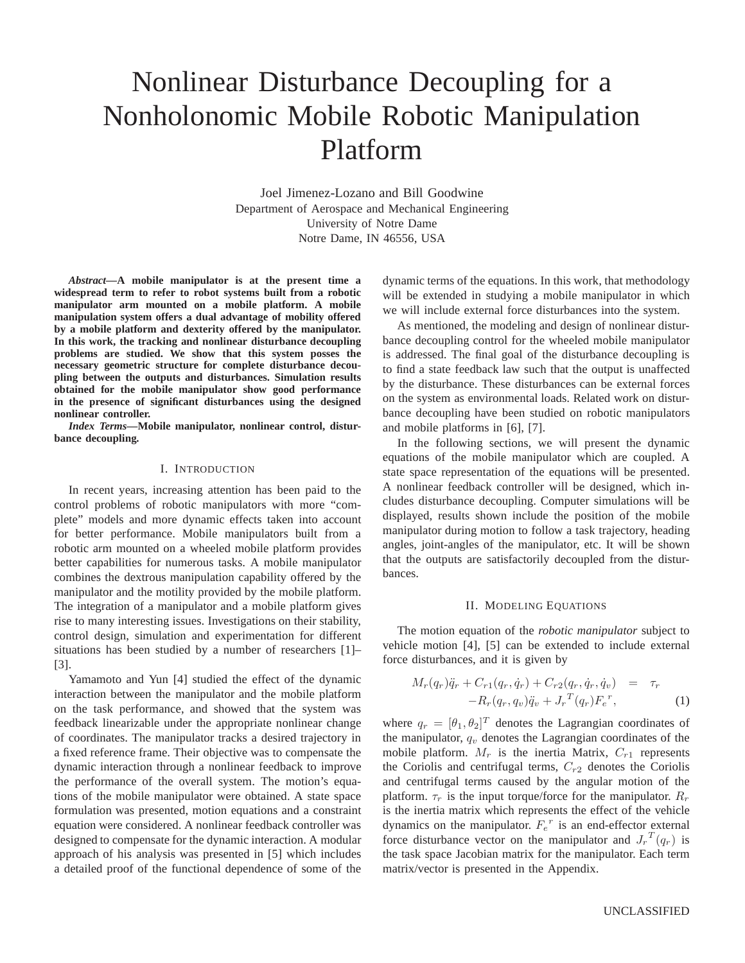# Nonlinear Disturbance Decoupling for a Nonholonomic Mobile Robotic Manipulation Platform

Joel Jimenez-Lozano and Bill Goodwine Department of Aerospace and Mechanical Engineering University of Notre Dame Notre Dame, IN 46556, USA

*Abstract***—A mobile manipulator is at the present time a widespread term to refer to robot systems built from a robotic manipulator arm mounted on a mobile platform. A mobile manipulation system offers a dual advantage of mobility offered by a mobile platform and dexterity offered by the manipulator. In this work, the tracking and nonlinear disturbance decoupling problems are studied. We show that this system posses the necessary geometric structure for complete disturbance decoupling between the outputs and disturbances. Simulation results obtained for the mobile manipulator show good performance in the presence of significant disturbances using the designed nonlinear controller.**

*Index Terms***—Mobile manipulator, nonlinear control, disturbance decoupling.**

# I. INTRODUCTION

In recent years, increasing attention has been paid to the control problems of robotic manipulators with more "complete" models and more dynamic effects taken into account for better performance. Mobile manipulators built from a robotic arm mounted on a wheeled mobile platform provides better capabilities for numerous tasks. A mobile manipulator combines the dextrous manipulation capability offered by the manipulator and the motility provided by the mobile platform. The integration of a manipulator and a mobile platform gives rise to many interesting issues. Investigations on their stability, control design, simulation and experimentation for different situations has been studied by a number of researchers [1]– [3].

Yamamoto and Yun [4] studied the effect of the dynamic interaction between the manipulator and the mobile platform on the task performance, and showed that the system was feedback linearizable under the appropriate nonlinear change of coordinates. The manipulator tracks a desired trajectory in a fixed reference frame. Their objective was to compensate the dynamic interaction through a nonlinear feedback to improve the performance of the overall system. The motion's equations of the mobile manipulator were obtained. A state space formulation was presented, motion equations and a constraint equation were considered. A nonlinear feedback controller was designed to compensate for the dynamic interaction. A modular approach of his analysis was presented in [5] which includes a detailed proof of the functional dependence of some of the dynamic terms of the equations. In this work, that methodology will be extended in studying a mobile manipulator in which we will include external force disturbances into the system.

As mentioned, the modeling and design of nonlinear disturbance decoupling control for the wheeled mobile manipulator is addressed. The final goal of the disturbance decoupling is to find a state feedback law such that the output is unaffected by the disturbance. These disturbances can be external forces on the system as environmental loads. Related work on disturbance decoupling have been studied on robotic manipulators and mobile platforms in [6], [7].

In the following sections, we will present the dynamic equations of the mobile manipulator which are coupled. A state space representation of the equations will be presented. A nonlinear feedback controller will be designed, which includes disturbance decoupling. Computer simulations will be displayed, results shown include the position of the mobile manipulator during motion to follow a task trajectory, heading angles, joint-angles of the manipulator, etc. It will be shown that the outputs are satisfactorily decoupled from the disturbances.

## II. MODELING EQUATIONS

The motion equation of the *robotic manipulator* subject to vehicle motion [4], [5] can be extended to include external force disturbances, and it is given by

$$
M_r(q_r)\ddot{q}_r + C_{r1}(q_r, \dot{q}_r) + C_{r2}(q_r, \dot{q}_r, \dot{q}_v) = \tau_r -R_r(q_r, q_v)\ddot{q}_v + J_r^T(q_r)F_e^r,
$$
 (1)

where  $q_r = [\theta_1, \theta_2]^T$  denotes the Lagrangian coordinates of the manipulator,  $q_v$  denotes the Lagrangian coordinates of the mobile platform.  $M_r$  is the inertia Matrix,  $C_{r1}$  represents the Coriolis and centrifugal terms,  $C_{r2}$  denotes the Coriolis and centrifugal terms caused by the angular motion of the platform.  $\tau_r$  is the input torque/force for the manipulator.  $R_r$ is the inertia matrix which represents the effect of the vehicle dynamics on the manipulator.  $F_e^r$  is an end-effector external force disturbance vector on the manipulator and  $J_r^T(q_r)$  is the task space Jacobian matrix for the manipulator. Each term matrix/vector is presented in the Appendix.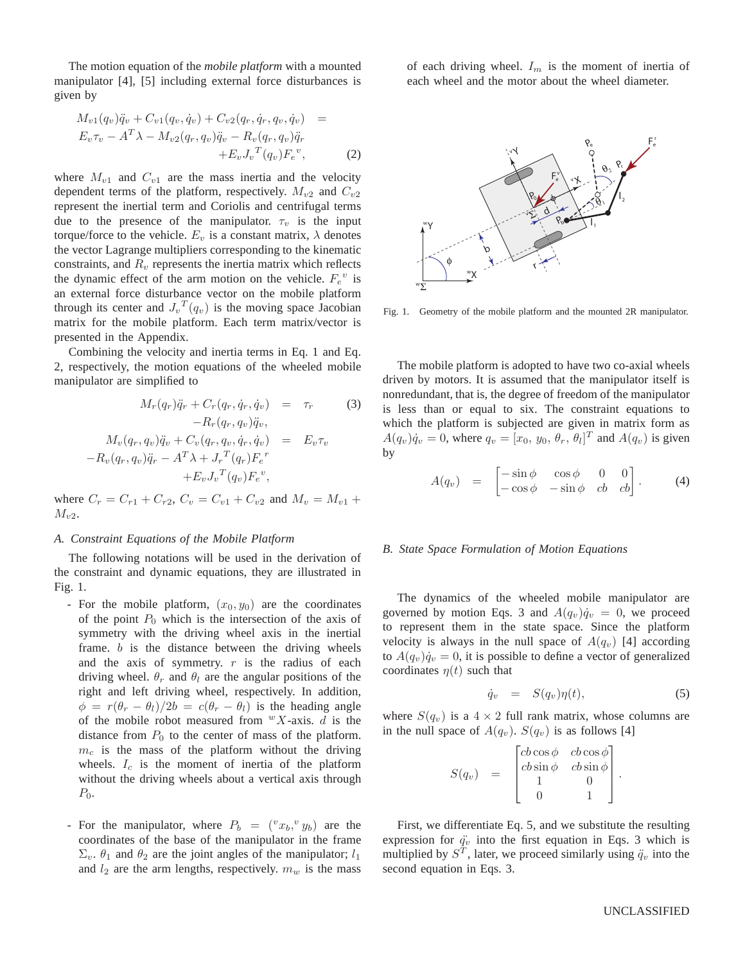The motion equation of the *mobile platform* with a mounted manipulator [4], [5] including external force disturbances is given by

$$
M_{v1}(q_v)\ddot{q}_v + C_{v1}(q_v, \dot{q}_v) + C_{v2}(q_r, \dot{q}_r, q_v, \dot{q}_v) =
$$
  
\n
$$
E_v \tau_v - A^T \lambda - M_{v2}(q_r, q_v)\ddot{q}_v - R_v(q_r, q_v)\ddot{q}_r
$$
  
\n
$$
+ E_v J_v^T(q_v) F_e^v,
$$
\n(2)

where  $M_{v1}$  and  $C_{v1}$  are the mass inertia and the velocity dependent terms of the platform, respectively.  $M_{v2}$  and  $C_{v2}$ represent the inertial term and Coriolis and centrifugal terms due to the presence of the manipulator.  $\tau_v$  is the input torque/force to the vehicle.  $E_y$  is a constant matrix,  $\lambda$  denotes the vector Lagrange multipliers corresponding to the kinematic constraints, and  $R_v$  represents the inertia matrix which reflects the dynamic effect of the arm motion on the vehicle.  $F_e^v$  is an external force disturbance vector on the mobile platform through its center and  $J_v^T(q_v)$  is the moving space Jacobian matrix for the mobile platform. Each term matrix/vector is presented in the Appendix.

Combining the velocity and inertia terms in Eq. 1 and Eq. 2, respectively, the motion equations of the wheeled mobile manipulator are simplified to

$$
M_r(q_r)\ddot{q}_r + C_r(q_r, \dot{q}_r, \dot{q}_v) = \tau_r
$$
  
\n
$$
-R_r(q_r, q_v)\ddot{q}_v,
$$
  
\n
$$
M_v(q_r, q_v)\ddot{q}_v + C_v(q_r, q_v, \dot{q}_r, \dot{q}_v) = E_v\tau_v
$$
  
\n
$$
-R_v(q_r, q_v)\ddot{q}_r - A^T\lambda + J_r^T(q_r)F_e^r
$$
  
\n
$$
+E_vJ_v^T(q_v)F_e^v,
$$
  
\n(3)

where  $C_r = C_{r1} + C_{r2}$ ,  $C_v = C_{v1} + C_{v2}$  and  $M_v = M_{v1} +$  $M_{v2}$ .

#### *A. Constraint Equations of the Mobile Platform*

The following notations will be used in the derivation of the constraint and dynamic equations, they are illustrated in Fig. 1.

- For the mobile platform,  $(x_0, y_0)$  are the coordinates of the point  $P_0$  which is the intersection of the axis of symmetry with the driving wheel axis in the inertial frame.  $b$  is the distance between the driving wheels and the axis of symmetry.  $r$  is the radius of each driving wheel.  $\theta_r$  and  $\theta_l$  are the angular positions of the right and left driving wheel, respectively. In addition,  $\phi = r(\theta_r - \theta_l)/2b = c(\theta_r - \theta_l)$  is the heading angle of the mobile robot measured from  $^{w}X$ -axis. d is the distance from  $P_0$  to the center of mass of the platform.  $m<sub>c</sub>$  is the mass of the platform without the driving wheels.  $I_c$  is the moment of inertia of the platform without the driving wheels about a vertical axis through  $P_0$ .
- For the manipulator, where  $P_b = ({}^v x_b, {}^v y_b)$  are the coordinates of the base of the manipulator in the frame  $\Sigma_v$ .  $\theta_1$  and  $\theta_2$  are the joint angles of the manipulator;  $l_1$ and  $l_2$  are the arm lengths, respectively.  $m_w$  is the mass

of each driving wheel.  $I_m$  is the moment of inertia of each wheel and the motor about the wheel diameter.



Fig. 1. Geometry of the mobile platform and the mounted 2R manipulator.

The mobile platform is adopted to have two co-axial wheels driven by motors. It is assumed that the manipulator itself is nonredundant, that is, the degree of freedom of the manipulator is less than or equal to six. The constraint equations to which the platform is subjected are given in matrix form as  $A(q_v) \dot{q}_v = 0$ , where  $q_v = [x_0, y_0, \theta_r, \theta_l]^T$  and  $A(q_v)$  is given by

$$
A(q_v) = \begin{bmatrix} -\sin\phi & \cos\phi & 0 & 0 \\ -\cos\phi & -\sin\phi & cb & cb \end{bmatrix}.
$$
 (4)

#### *B. State Space Formulation of Motion Equations*

The dynamics of the wheeled mobile manipulator are governed by motion Eqs. 3 and  $A(q_v) \dot{q}_v = 0$ , we proceed to represent them in the state space. Since the platform velocity is always in the null space of  $A(q_v)$  [4] according to  $A(q_v) \dot{q}_v = 0$ , it is possible to define a vector of generalized coordinates  $\eta(t)$  such that

$$
\dot{q}_v = S(q_v)\eta(t), \tag{5}
$$

where  $S(q_v)$  is a  $4 \times 2$  full rank matrix, whose columns are in the null space of  $A(q_v)$ .  $S(q_v)$  is as follows [4]

$$
S(q_v) = \begin{bmatrix} cb\cos\phi & cb\cos\phi \\ cb\sin\phi & cb\sin\phi \\ 1 & 0 \\ 0 & 1 \end{bmatrix}.
$$

First, we differentiate Eq. 5, and we substitute the resulting expression for  $\ddot{q}_v$  into the first equation in Eqs. 3 which is multiplied by  $S^T$ , later, we proceed similarly using  $\ddot{q}_v$  into the second equation in Eqs. 3.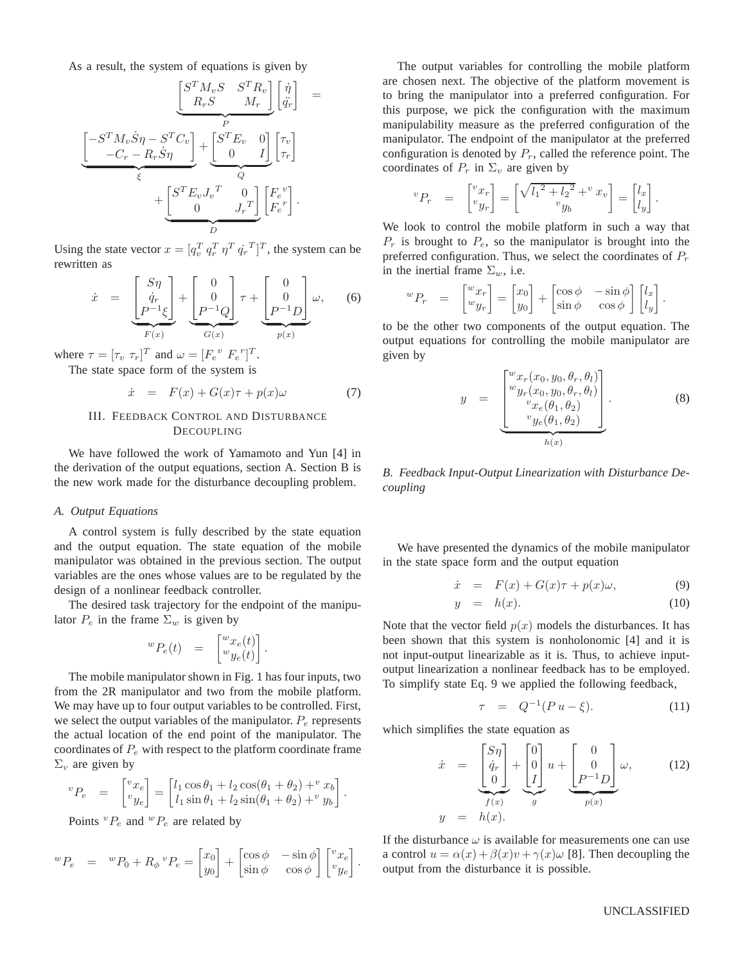As a result, the system of equations is given by

$$
\underbrace{\begin{bmatrix} S^T M_v S & S^T R_v \\ R_r S & M_r \end{bmatrix}}_{\xi} \begin{bmatrix} \dot{\eta} \\ \ddot{q}_r \end{bmatrix} =
$$
\n
$$
\underbrace{\begin{bmatrix} -S^T M_v \dot{S} \eta - S^T C_v \\ -C_r - R_r \dot{S} \eta \end{bmatrix}}_{\xi} + \underbrace{\begin{bmatrix} S^T E_v & 0 \\ 0 & I \end{bmatrix}}_{Q} \begin{bmatrix} \tau_v \\ \tau_r \end{bmatrix}}_{D} + \underbrace{\begin{bmatrix} S^T E_v J_v^T & 0 \\ 0 & J_r^T \end{bmatrix}}_{D} \begin{bmatrix} F_e^v \\ F_e^r \end{bmatrix}.
$$

Using the state vector  $x = [q_v^T q_r^T \eta^T \dot{q}_r^T]^T$ , the system can be rewritten as

$$
\dot{x} = \underbrace{\begin{bmatrix} S\eta \\ \dot{q}_r \\ P^{-1}\xi \end{bmatrix}}_{F(x)} + \underbrace{\begin{bmatrix} 0 \\ 0 \\ P^{-1}Q \end{bmatrix}}_{G(x)} \tau + \underbrace{\begin{bmatrix} 0 \\ 0 \\ P^{-1}D \end{bmatrix}}_{p(x)} \omega, \quad (6)
$$

where  $\tau = [\tau_v \ \tau_r]^T$  and  $\omega = [F_e^{\ v} \ F_e^{\ r}]^T$ .

The state space form of the system is

$$
\dot{x} = F(x) + G(x)\tau + p(x)\omega \tag{7}
$$

# III. FEEDBACK CONTROL AND DISTURBANCE DECOUPLING

We have followed the work of Yamamoto and Yun [4] in the derivation of the output equations, section A. Section B is the new work made for the disturbance decoupling problem.

#### *A. Output Equations*

A control system is fully described by the state equation and the output equation. The state equation of the mobile manipulator was obtained in the previous section. The output variables are the ones whose values are to be regulated by the design of a nonlinear feedback controller.

The desired task trajectory for the endpoint of the manipulator  $P_e$  in the frame  $\Sigma_w$  is given by

$$
{}^{w}P_{e}(t) = \begin{bmatrix} {}^{w}x_{e}(t) \\ {}^{w}y_{e}(t) \end{bmatrix}.
$$

The mobile manipulator shown in Fig. 1 has four inputs, two from the 2R manipulator and two from the mobile platform. We may have up to four output variables to be controlled. First, we select the output variables of the manipulator.  $P_e$  represents the actual location of the end point of the manipulator. The coordinates of  $P_e$  with respect to the platform coordinate frame  $\Sigma_v$  are given by

$$
{}^{v}P_{e} = \begin{bmatrix} {}^{v}x_{e} \\ {}^{v}y_{e} \end{bmatrix} = \begin{bmatrix} l_{1}\cos\theta_{1} + l_{2}\cos(\theta_{1} + \theta_{2}) + {}^{v}x_{b} \\ l_{1}\sin\theta_{1} + l_{2}\sin(\theta_{1} + \theta_{2}) + {}^{v}y_{b} \end{bmatrix}.
$$

Points  ${}^v_{}P_e$  and  ${}^w_{}P_e$  are related by

$$
{}^{w}P_{e} = {}^{w}P_{0} + R_{\phi} {}^{v}P_{e} = \begin{bmatrix} x_{0} \\ y_{0} \end{bmatrix} + \begin{bmatrix} \cos \phi & -\sin \phi \\ \sin \phi & \cos \phi \end{bmatrix} \begin{bmatrix} {}^{v}x_{e} \\ {}^{v}y_{e} \end{bmatrix}
$$

The output variables for controlling the mobile platform are chosen next. The objective of the platform movement is to bring the manipulator into a preferred configuration. For this purpose, we pick the configuration with the maximum manipulability measure as the preferred configuration of the manipulator. The endpoint of the manipulator at the preferred configuration is denoted by  $P_r$ , called the reference point. The coordinates of  $P_r$  in  $\Sigma_v$  are given by

$$
{}^{v}P_{r} = \begin{bmatrix} {}^{v}x_{r} \\ {}^{v}y_{r} \end{bmatrix} = \begin{bmatrix} \sqrt{l_{1}^{2} + l_{2}^{2}} + {}^{v}x_{v} \\ {}^{v}y_{b} \end{bmatrix} = \begin{bmatrix} l_{x} \\ l_{y} \end{bmatrix}.
$$

We look to control the mobile platform in such a way that  $P_r$  is brought to  $P_e$ , so the manipulator is brought into the preferred configuration. Thus, we select the coordinates of  $P_r$ in the inertial frame  $\Sigma_w$ , i.e.

$$
{}^{w}P_{r} \quad = \quad \begin{bmatrix} {}^{w}x_{r} \\ {}^{w}y_{r} \end{bmatrix} = \begin{bmatrix} x_{0} \\ y_{0} \end{bmatrix} + \begin{bmatrix} \cos\phi & -\sin\phi \\ \sin\phi & \cos\phi \end{bmatrix} \begin{bmatrix} l_{x} \\ l_{y} \end{bmatrix}.
$$

to be the other two components of the output equation. The output equations for controlling the mobile manipulator are given by

$$
y = \underbrace{\begin{bmatrix} w_{x_r}(x_0, y_0, \theta_r, \theta_l) \\ w_{y_r}(x_0, y_0, \theta_r, \theta_l) \\ v_{x_e}(\theta_1, \theta_2) \\ v_{y_e}(\theta_1, \theta_2) \end{bmatrix}}_{h(x)}.
$$
 (8)

*B. Feedback Input-Output Linearization with Disturbance Decoupling*

We have presented the dynamics of the mobile manipulator in the state space form and the output equation

$$
\dot{x} = F(x) + G(x)\tau + p(x)\omega, \tag{9}
$$

$$
y = h(x). \tag{10}
$$

Note that the vector field  $p(x)$  models the disturbances. It has been shown that this system is nonholonomic [4] and it is not input-output linearizable as it is. Thus, to achieve inputoutput linearization a nonlinear feedback has to be employed. To simplify state Eq. 9 we applied the following feedback,

$$
\tau = Q^{-1}(P u - \xi). \tag{11}
$$

which simplifies the state equation as

.

$$
\dot{x} = \underbrace{\begin{bmatrix} S\eta \\ \dot{q}_r \\ 0 \end{bmatrix}}_{f(x)} + \underbrace{\begin{bmatrix} 0 \\ 0 \\ I \end{bmatrix}}_{g} u + \underbrace{\begin{bmatrix} 0 \\ 0 \\ P^{-1}D \end{bmatrix}}_{p(x)} \omega, \qquad (12)
$$
\n
$$
y = h(x).
$$

If the disturbance  $\omega$  is available for measurements one can use a control  $u = \alpha(x) + \beta(x)v + \gamma(x)\omega$  [8]. Then decoupling the output from the disturbance it is possible.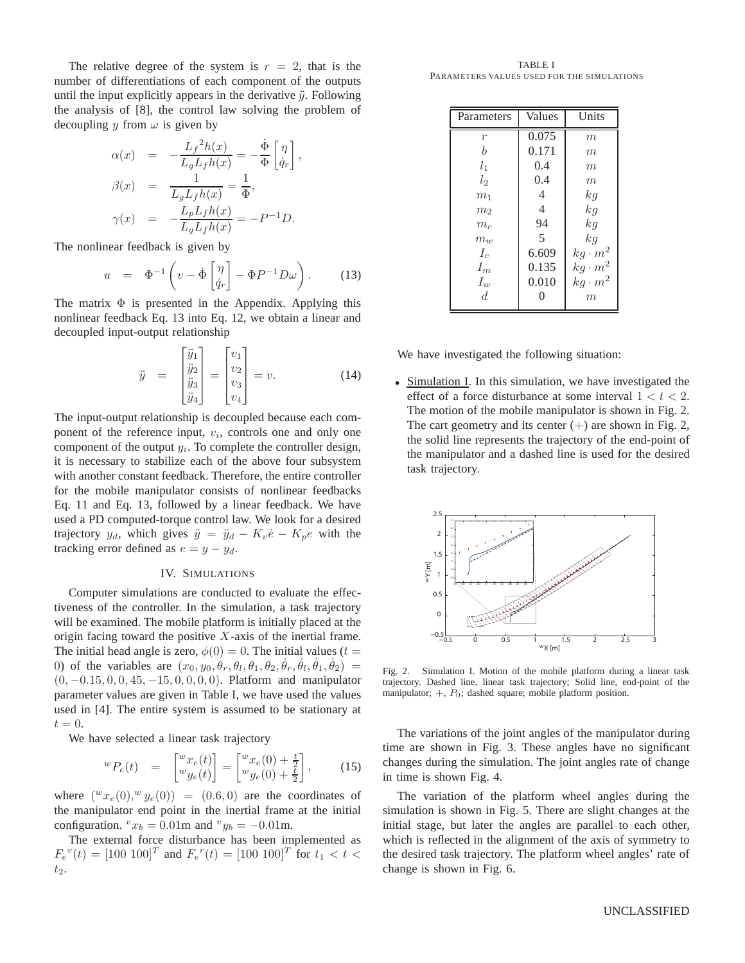The relative degree of the system is  $r = 2$ , that is the number of differentiations of each component of the outputs until the input explicitly appears in the derivative  $\ddot{y}$ . Following the analysis of [8], the control law solving the problem of decoupling y from  $\omega$  is given by

$$
\alpha(x) = -\frac{L_f^2 h(x)}{L_g L_f h(x)} = -\frac{\dot{\Phi}}{\Phi} \begin{bmatrix} \eta \\ \dot{q}_r \end{bmatrix},
$$
  
\n
$$
\beta(x) = \frac{1}{L_g L_f h(x)} = \frac{1}{\Phi},
$$
  
\n
$$
\gamma(x) = -\frac{L_p L_f h(x)}{L_g L_f h(x)} = -P^{-1} D.
$$

The nonlinear feedback is given by

$$
u = \Phi^{-1} \left( v - \dot{\Phi} \begin{bmatrix} \eta \\ \dot{q}_r \end{bmatrix} - \Phi P^{-1} D \omega \right). \tag{13}
$$

The matrix  $\Phi$  is presented in the Appendix. Applying this nonlinear feedback Eq. 13 into Eq. 12, we obtain a linear and decoupled input-output relationship

$$
\ddot{y} = \begin{bmatrix} \ddot{y}_1 \\ \ddot{y}_2 \\ \ddot{y}_3 \\ \ddot{y}_4 \end{bmatrix} = \begin{bmatrix} v_1 \\ v_2 \\ v_3 \\ v_4 \end{bmatrix} = v.
$$
 (14)

The input-output relationship is decoupled because each component of the reference input,  $v_i$ , controls one and only one component of the output  $y_i$ . To complete the controller design, it is necessary to stabilize each of the above four subsystem with another constant feedback. Therefore, the entire controller for the mobile manipulator consists of nonlinear feedbacks Eq. 11 and Eq. 13, followed by a linear feedback. We have used a PD computed-torque control law. We look for a desired trajectory  $y_d$ , which gives  $\ddot{y} = \ddot{y}_d - K_v \dot{e} - K_p e$  with the tracking error defined as  $e = y - y_d$ .

#### IV. SIMULATIONS

Computer simulations are conducted to evaluate the effectiveness of the controller. In the simulation, a task trajectory will be examined. The mobile platform is initially placed at the origin facing toward the positive  $X$ -axis of the inertial frame. The initial head angle is zero,  $\phi(0) = 0$ . The initial values (t = 0) of the variables are  $(x_0, y_0, \theta_r, \theta_l, \theta_1, \theta_2, \dot{\theta}_r, \dot{\theta}_l, \dot{\theta}_1, \dot{\theta}_2)$  =  $(0, -0.15, 0, 0, 45, -15, 0, 0, 0, 0)$ . Platform and manipulator parameter values are given in Table I, we have used the values used in [4]. The entire system is assumed to be stationary at  $t = 0.$ 

We have selected a linear task trajectory

$$
{}^{w}P_{e}(t) = \begin{bmatrix} {}^{w}x_{e}(t) \\ {}^{w}y_{e}(t) \end{bmatrix} = \begin{bmatrix} {}^{w}x_{e}(0) + \frac{t}{2} \\ {}^{w}y_{e}(0) + \frac{t}{2} \end{bmatrix},
$$
 (15)

where  $(^{w}x_e(0), ^{w}y_e(0)) = (0.6, 0)$  are the coordinates of the manipulator end point in the inertial frame at the initial configuration.  $v_{x_b} = 0.01$ m and  $v_{y_b} = -0.01$ m.

The external force disturbance has been implemented as  $F_e^{\ v}(t) = [100\;100]^T$  and  $F_e^{\ v}(t) = [100\;100]^T$  for  $t_1 < t <$  $t_2$ .

TABLE I PARAMETERS VALUES USED FOR THE SIMULATIONS

| Parameters     | Values | Units          |
|----------------|--------|----------------|
| $\overline{r}$ | 0.075  | $m\,$          |
| h              | 0.171  | $m\,$          |
| $l_1$          | 0.4    | $m\,$          |
| $l_2$          | 0.4    | m              |
| m <sub>1</sub> | 4      | kq             |
| m <sub>2</sub> | 4      | kg             |
| $m_c$          | 94     | kg             |
| $m_w$          | 5      | kg             |
| $I_c$          | 6.609  | $kg \cdot m^2$ |
| $I_m$          | 0.135  | $kg \cdot m^2$ |
| $I_w$          | 0.010  | $kg\cdot m^2$  |
| d              |        | $m\,$          |

We have investigated the following situation:

Simulation I. In this simulation, we have investigated the effect of a force disturbance at some interval  $1 < t < 2$ . The motion of the mobile manipulator is shown in Fig. 2. The cart geometry and its center  $(+)$  are shown in Fig. 2, the solid line represents the trajectory of the end-point of the manipulator and a dashed line is used for the desired task trajectory.



Fig. 2. Simulation I. Motion of the mobile platform during a linear task trajectory. Dashed line, linear task trajectory; Solid line, end-point of the manipulator;  $+, P_0$ ; dashed square; mobile platform position.

The variations of the joint angles of the manipulator during time are shown in Fig. 3. These angles have no significant changes during the simulation. The joint angles rate of change in time is shown Fig. 4.

The variation of the platform wheel angles during the simulation is shown in Fig. 5. There are slight changes at the initial stage, but later the angles are parallel to each other, which is reflected in the alignment of the axis of symmetry to the desired task trajectory. The platform wheel angles' rate of change is shown in Fig. 6.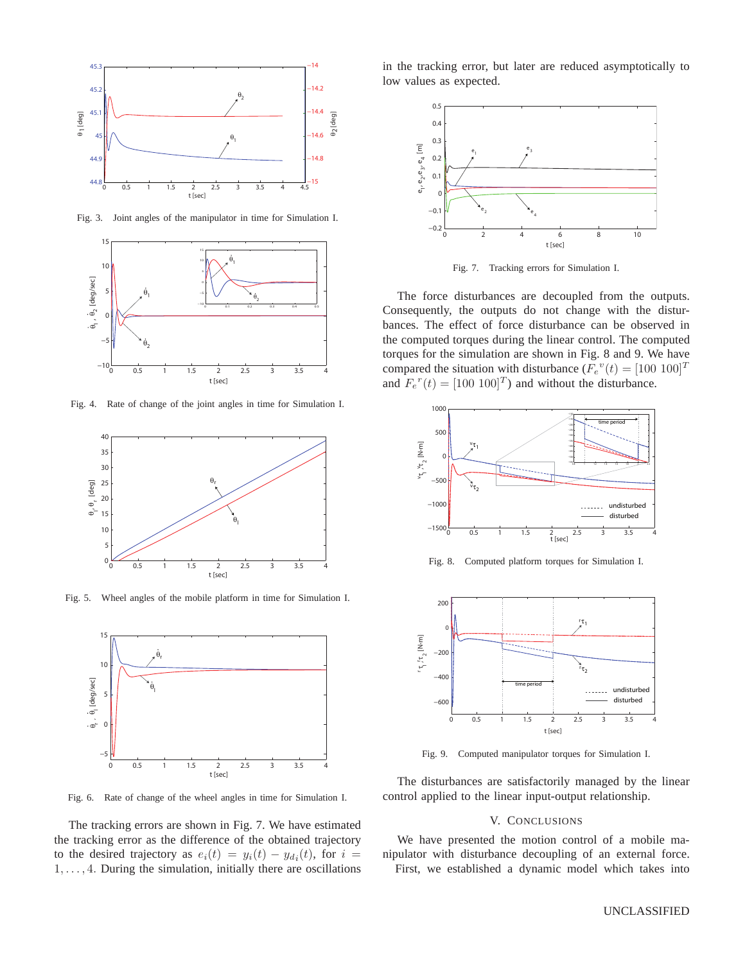

Fig. 3. Joint angles of the manipulator in time for Simulation I.



Fig. 4. Rate of change of the joint angles in time for Simulation I.



Fig. 5. Wheel angles of the mobile platform in time for Simulation I.



Fig. 6. Rate of change of the wheel angles in time for Simulation I.

The tracking errors are shown in Fig. 7. We have estimated the tracking error as the difference of the obtained trajectory to the desired trajectory as  $e_i(t) = y_i(t) - y_{di}(t)$ , for  $i =$  $1, \ldots, 4$ . During the simulation, initially there are oscillations in the tracking error, but later are reduced asymptotically to low values as expected.



Fig. 7. Tracking errors for Simulation I.

The force disturbances are decoupled from the outputs. Consequently, the outputs do not change with the disturbances. The effect of force disturbance can be observed in the computed torques during the linear control. The computed torques for the simulation are shown in Fig. 8 and 9. We have compared the situation with disturbance  $(F_e^{\,v}(t) = [100 \; 100]^T)$ and  $F_e^{\ r}(t) = [100 \; 100]^T$  and without the disturbance.



Fig. 8. Computed platform torques for Simulation I.



Fig. 9. Computed manipulator torques for Simulation I.

The disturbances are satisfactorily managed by the linear control applied to the linear input-output relationship.

#### V. CONCLUSIONS

We have presented the motion control of a mobile manipulator with disturbance decoupling of an external force. First, we established a dynamic model which takes into